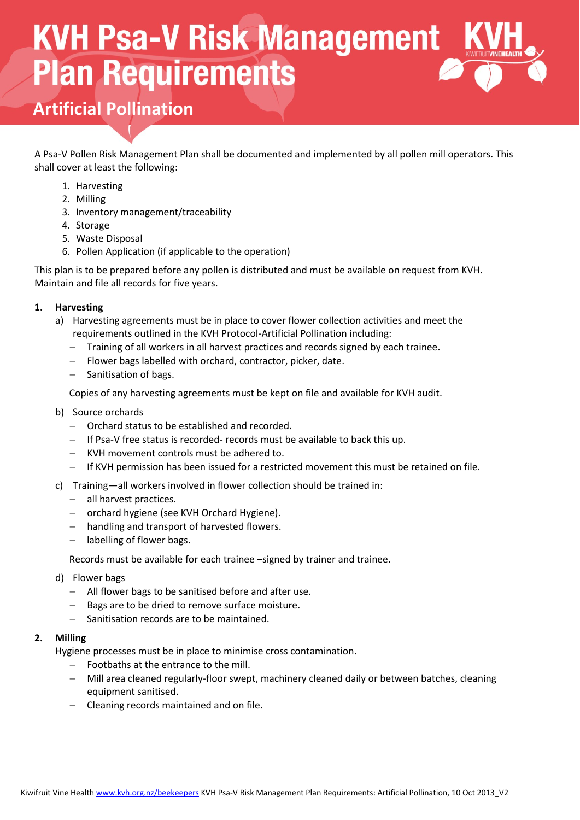# **KVH Psa-V Risk Management Plan Requirements**

# **Artificial Pollination**

A Psa-V Pollen Risk Management Plan shall be documented and implemented by all pollen mill operators. This shall cover at least the following:

- 1. Harvesting
- 2. Milling
- 3. Inventory management/traceability
- 4. Storage
- 5. Waste Disposal
- 6. Pollen Application (if applicable to the operation)

This plan is to be prepared before any pollen is distributed and must be available on request from KVH. Maintain and file all records for five years.

#### **1. Harvesting**

- a) Harvesting agreements must be in place to cover flower collection activities and meet the requirements outlined in the KVH Protocol-Artificial Pollination including:
	- Training of all workers in all harvest practices and records signed by each trainee.
	- $-$  Flower bags labelled with orchard, contractor, picker, date.
	- Sanitisation of bags.

Copies of any harvesting agreements must be kept on file and available for KVH audit.

- b) Source orchards
	- Orchard status to be established and recorded.
	- $-$  If Psa-V free status is recorded- records must be available to back this up.
	- KVH movement controls must be adhered to.
	- If KVH permission has been issued for a restricted movement this must be retained on file.
- c) Training—all workers involved in flower collection should be trained in:
	- all harvest practices.
	- orchard hygiene (see KVH Orchard Hygiene).
	- handling and transport of harvested flowers.
	- labelling of flower bags.

Records must be available for each trainee –signed by trainer and trainee.

- d) Flower bags
	- All flower bags to be sanitised before and after use.
	- Bags are to be dried to remove surface moisture.
	- Sanitisation records are to be maintained.

#### **2. Milling**

Hygiene processes must be in place to minimise cross contamination.

- Footbaths at the entrance to the mill.
- Mill area cleaned regularly-floor swept, machinery cleaned daily or between batches, cleaning equipment sanitised.
- Cleaning records maintained and on file.